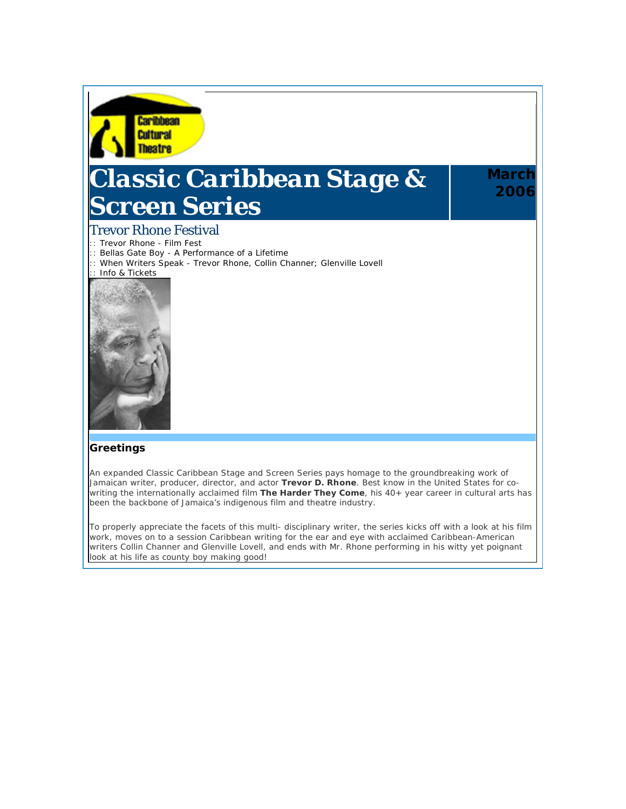

# *Classic Caribbean Stage & Screen Series*

## **March 2006**

### Trevor Rhone Festival

- :: Trevor Rhone Film Fest
- :: Bellas Gate Boy A Performance of a Lifetime
- :: When Writers Speak Trevor Rhone, Collin Channer; Glenville Lovell
- :: Info & Tickets



#### **Greetings**

An expanded *Classic Caribbean Stage and Screen Series* pays homage to the groundbreaking work of Jamaican writer, producer, director, and actor **Trevor D. Rhone**. Best know in the United States for cowriting the internationally acclaimed film **The Harder They Come**, his 40+ year career in cultural arts has been the backbone of Jamaica's indigenous film and theatre industry.

To properly appreciate the facets of this multi- disciplinary writer, the series kicks off with a look at his film work, moves on to a session Caribbean writing for the ear and eye with acclaimed Caribbean-American writers Collin Channer and Glenville Lovell, and ends with Mr. Rhone performing in his witty yet poignant look at his life as county boy making good!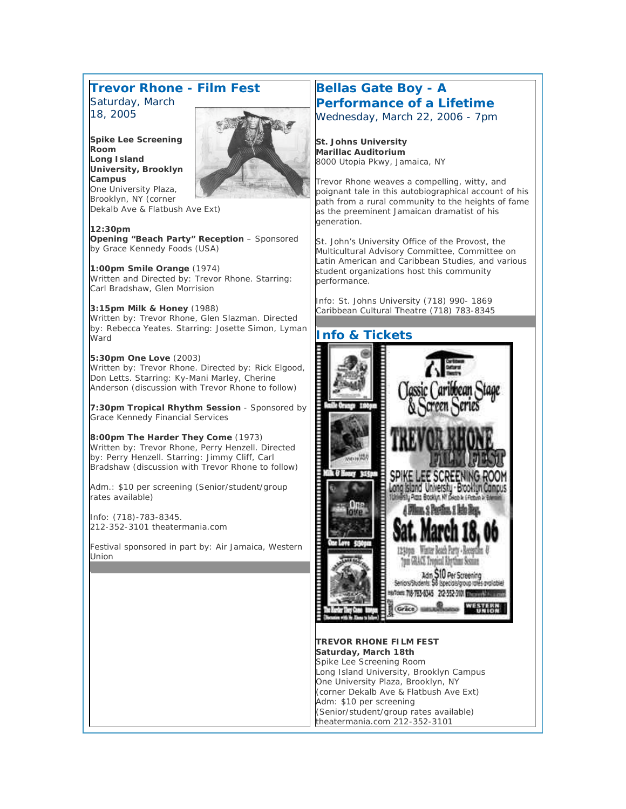#### **Trevor Rhone - Film Fest** *Saturday, March 18, 2005*

**Spike Lee Screening Room Long Island University, Brooklyn Campus** One University Plaza, Brooklyn, NY (corner



Dekalb Ave & Flatbush Ave Ext)

**12:30pm Opening "Beach Party" Reception** – Sponsored by Grace Kennedy Foods (USA)

**1:00pm Smile Orange** (1974) Written and Directed by: Trevor Rhone. Starring: Carl Bradshaw, Glen Morrision

**3:15pm Milk & Honey** (1988) Written by: Trevor Rhone, Glen Slazman. Directed by: Rebecca Yeates. Starring: Josette Simon, Lyman Ward

**5:30pm One Love** (2003) Written by: Trevor Rhone. Directed by: Rick Elgood, Don Letts. Starring: Ky-Mani Marley, Cherine Anderson (discussion with Trevor Rhone to follow)

**7:30pm Tropical Rhythm Session** - Sponsored by Grace Kennedy Financial Services

**8:00pm The Harder They Come** (1973) Written by: Trevor Rhone, Perry Henzell. Directed by: Perry Henzell. Starring: Jimmy Cliff, Carl Bradshaw (discussion with Trevor Rhone to follow)

Adm.: \$10 per screening (Senior/student/group rates available)

Info: (718)-783-8345. 212-352-3101 theatermania.com

Festival sponsored in part by: Air Jamaica, Western Union

#### **Bellas Gate Boy - A Performance of a Lifetime** *Wednesday, March 22, 2006 - 7pm*

**St. Johns University Marillac Auditorium**  8000 Utopia Pkwy, Jamaica, NY

Trevor Rhone weaves a compelling, witty, and poignant tale in this autobiographical account of his path from a rural community to the heights of fame as the preeminent Jamaican dramatist of his generation.

St. John's University Office of the Provost, the Multicultural Advisory Committee, Committee on Latin American and Caribbean Studies, and various student organizations host this community performance.

Info: St. Johns University (718) 990- 1869 Caribbean Cultural Theatre (718) 783-8345



**TREVOR RHONE FILM FEST Saturday, March 18th**  Spike Lee Screening Room Long Island University, Brooklyn Campus One University Plaza, Brooklyn, NY (corner Dekalb Ave & Flatbush Ave Ext) Adm: \$10 per screening (Senior/student/group rates available) theatermania.com 212-352-3101